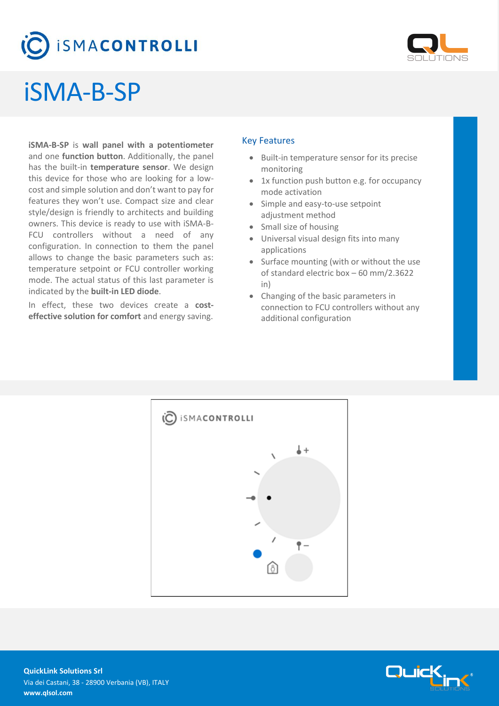# **ISMACONTROLLI**



## iSMA-B-SP

**iSMA-B-SP** is **wall panel with a potentiometer** and one **function button**. Additionally, the panel has the built-in **temperature sensor**. We design this device for those who are looking for a lowcost and simple solution and don't want to pay for features they won't use. Compact size and clear style/design is friendly to architects and building owners. This device is ready to use with iSMA-B-FCU controllers without a need of any configuration. In connection to them the panel allows to change the basic parameters such as: temperature setpoint or FCU controller working mode. The actual status of this last parameter is indicated by the **built-in LED diode**.

In effect, these two devices create a **costeffective solution for comfort** and energy saving.

#### Key Features

- Built-in temperature sensor for its precise monitoring
- 1x function push button e.g. for occupancy mode activation
- Simple and easy-to-use setpoint adjustment method
- Small size of housing
- Universal visual design fits into many applications
- Surface mounting (with or without the use of standard electric box – 60 mm/2.3622 in)
- Changing of the basic parameters in connection to FCU controllers without any additional configuration



Quid

**QuickLink Solutions Srl** Via dei Castani, 38 - 28900 Verbania (VB), ITALY **www.qlsol.com**